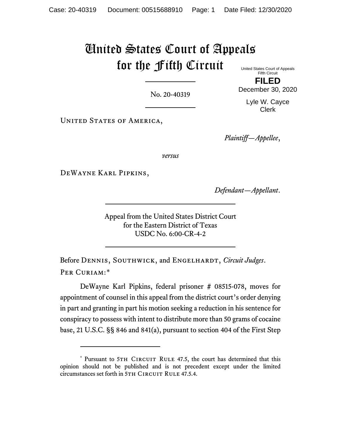## United States Court of Appeals for the Fifth Circuit United States Court of Appeals

No. 20-40319

Fifth Circuit **FILED**

December 30, 2020

Lyle W. Cayce Clerk

UNITED STATES OF AMERICA,

*Plaintiff—Appellee*,

*versus*

DeWayne Karl Pipkins,

*Defendant—Appellant*.

Appeal from the United States District Court for the Eastern District of Texas USDC No. 6:00-CR-4-2

Before DENNIS, SOUTHWICK, and ENGELHARDT, *Circuit Judges*. PER CURIAM:[\\*](#page-0-0)

DeWayne Karl Pipkins, federal prisoner # 08515-078, moves for appointment of counsel in this appeal from the district court's order denying in part and granting in part his motion seeking a reduction in his sentence for conspiracy to possess with intent to distribute more than 50 grams of cocaine base, 21 U.S.C. §§ 846 and 841(a), pursuant to section 404 of the First Step

<span id="page-0-0"></span><sup>\*</sup> Pursuant to 5TH CIRCUIT RULE 47.5, the court has determined that this opinion should not be published and is not precedent except under the limited circumstances set forth in 5TH CIRCUIT RULE 47.5.4.